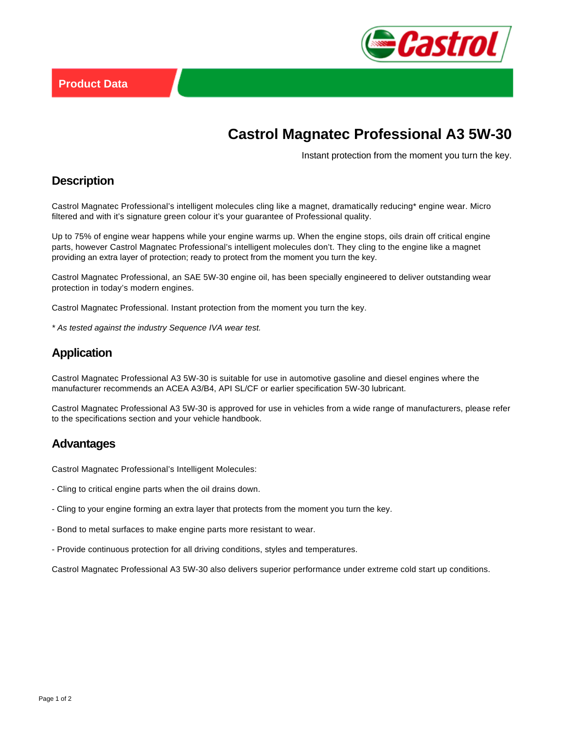

# **Castrol Magnatec Professional A3 5W-30**

Instant protection from the moment you turn the key.

### **Description**

Castrol Magnatec Professional's intelligent molecules cling like a magnet, dramatically reducing\* engine wear. Micro filtered and with it's signature green colour it's your guarantee of Professional quality.

Up to 75% of engine wear happens while your engine warms up. When the engine stops, oils drain off critical engine parts, however Castrol Magnatec Professional's intelligent molecules don't. They cling to the engine like a magnet providing an extra layer of protection; ready to protect from the moment you turn the key.

Castrol Magnatec Professional, an SAE 5W-30 engine oil, has been specially engineered to deliver outstanding wear protection in today's modern engines.

Castrol Magnatec Professional. Instant protection from the moment you turn the key.

\* As tested against the industry Sequence IVA wear test.

## **Application**

Castrol Magnatec Professional A3 5W-30 is suitable for use in automotive gasoline and diesel engines where the manufacturer recommends an ACEA A3/B4, API SL/CF or earlier specification 5W-30 lubricant.

Castrol Magnatec Professional A3 5W-30 is approved for use in vehicles from a wide range of manufacturers, please refer to the specifications section and your vehicle handbook.

#### **Advantages**

Castrol Magnatec Professional's Intelligent Molecules:

- Cling to critical engine parts when the oil drains down.
- Cling to your engine forming an extra layer that protects from the moment you turn the key.
- Bond to metal surfaces to make engine parts more resistant to wear.
- Provide continuous protection for all driving conditions, styles and temperatures.

Castrol Magnatec Professional A3 5W-30 also delivers superior performance under extreme cold start up conditions.